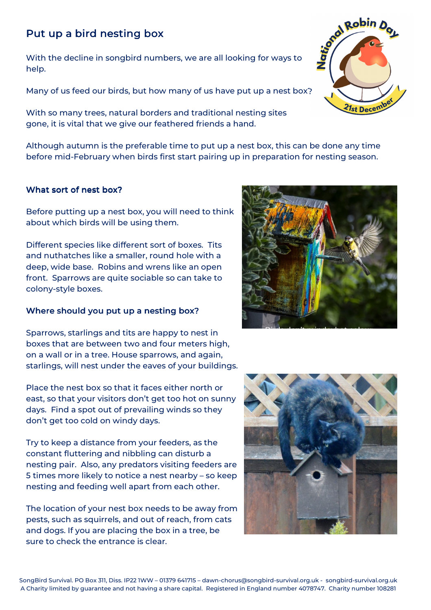# Put up a bird nesting box

With the decline in songbird numbers, we are all looking for ways to help.

Many of us feed our birds, but how many of us have put up a nest box?

With so many trees, natural borders and traditional nesting sites gone, it is vital that we give our feathered friends a hand.

Although autumn is the preferable time to put up a nest box, this can be done any time before mid-February when birds first start pairing up in preparation for nesting season.

## What sort of nest box?

Before putting up a nest box, you will need to think about which birds will be using them.

Different species like different sort of boxes. Tits and nuthatches like a smaller, round hole with a deep, wide base. Robins and wrens like an open front. Sparrows are quite sociable so can take to colony-style boxes.

# Where should you put up a nesting box?

Sparrows, starlings and tits are happy to nest in boxes that are between two and four meters high, on a wall or in a tree. House sparrows, and again, starlings, will nest under the eaves of your buildings.

Place the nest box so that it faces either north or east, so that your visitors don't get too hot on sunny days. Find a spot out of prevailing winds so they don't get too cold on windy days.

Try to keep a distance from your feeders, as the constant fluttering and nibbling can disturb a nesting pair. Also, any predators visiting feeders are 5 times more likely to notice a nest nearby – so keep nesting and feeding well apart from each other.

The location of your nest box needs to be away from pests, such as squirrels, and out of reach, from cats and dogs. If you are placing the box in a tree, be sure to check the entrance is clear.